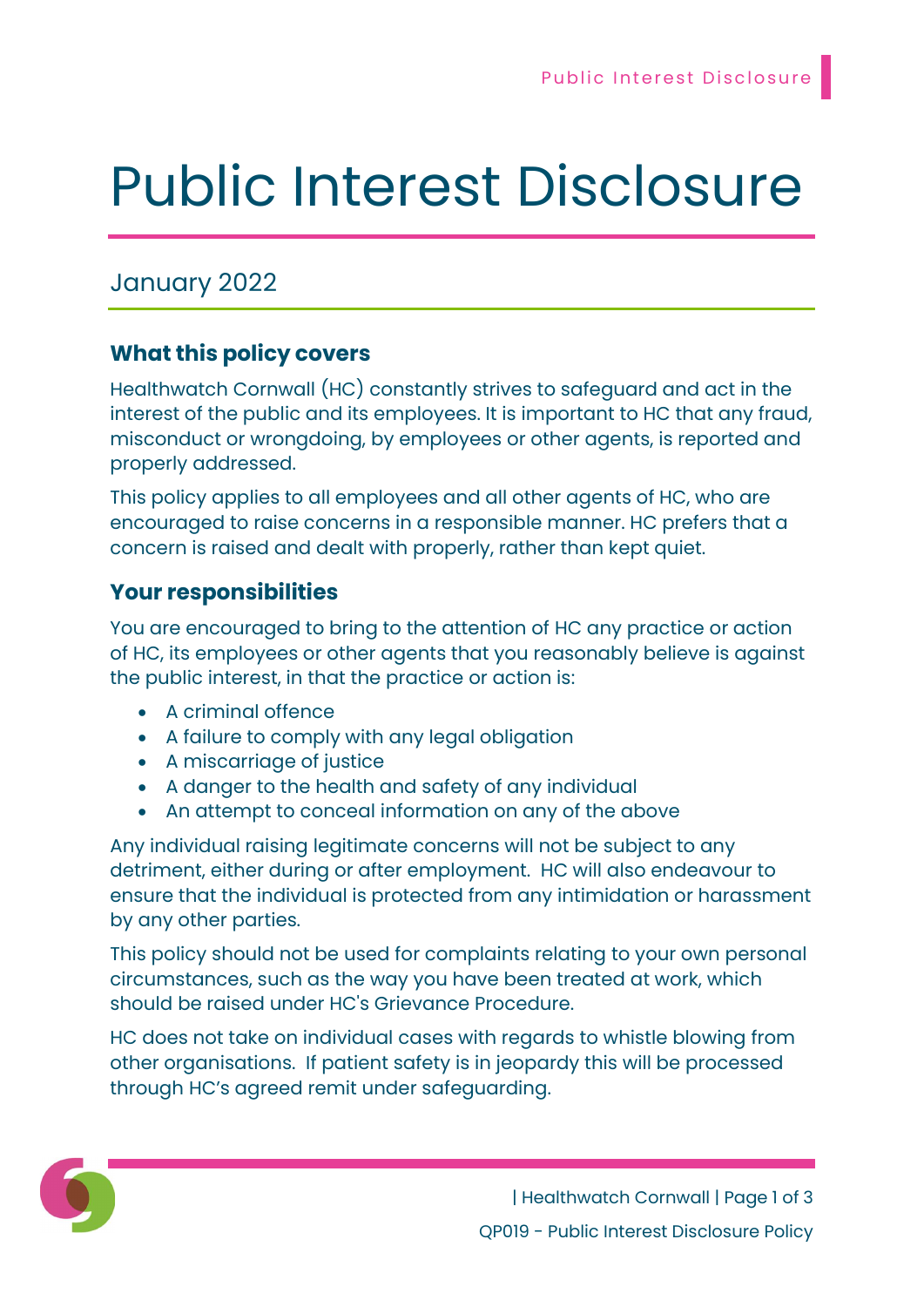# Public Interest Disclosure

## January 2022

### What this policy covers

Healthwatch Cornwall (HC) constantly strives to safeguard and act in the interest of the public and its employees. It is important to HC that any fraud, misconduct or wrongdoing, by employees or other agents, is reported and properly addressed.

This policy applies to all employees and all other agents of HC, who are encouraged to raise concerns in a responsible manner. HC prefers that a concern is raised and dealt with properly, rather than kept quiet.

### Your responsibilities

You are encouraged to bring to the attention of HC any practice or action of HC, its employees or other agents that you reasonably believe is against the public interest, in that the practice or action is:

- A criminal offence
- A failure to comply with any legal obligation
- A miscarriage of justice
- A danger to the health and safety of any individual
- An attempt to conceal information on any of the above

Any individual raising legitimate concerns will not be subject to any detriment, either during or after employment. HC will also endeavour to ensure that the individual is protected from any intimidation or harassment by any other parties.

This policy should not be used for complaints relating to your own personal circumstances, such as the way you have been treated at work, which should be raised under HC's Grievance Procedure.

HC does not take on individual cases with regards to whistle blowing from other organisations. If patient safety is in jeopardy this will be processed through HC's agreed remit under safeguarding.

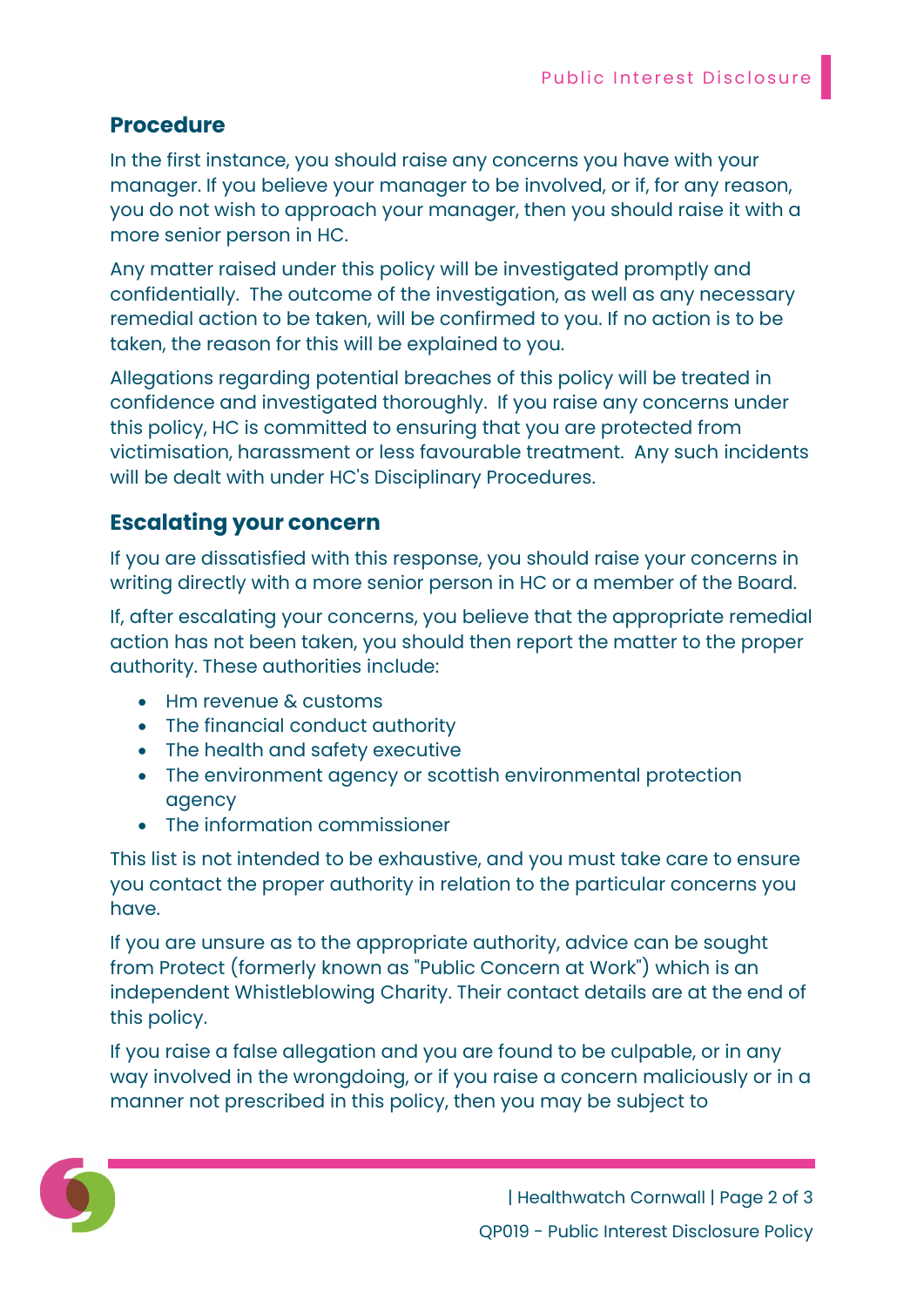#### Procedure

In the first instance, you should raise any concerns you have with your manager. If you believe your manager to be involved, or if, for any reason, you do not wish to approach your manager, then you should raise it with a more senior person in HC.

Any matter raised under this policy will be investigated promptly and confidentially. The outcome of the investigation, as well as any necessary remedial action to be taken, will be confirmed to you. If no action is to be taken, the reason for this will be explained to you.

Allegations regarding potential breaches of this policy will be treated in confidence and investigated thoroughly. If you raise any concerns under this policy, HC is committed to ensuring that you are protected from victimisation, harassment or less favourable treatment. Any such incidents will be dealt with under HC's Disciplinary Procedures.

### Escalating your concern

If you are dissatisfied with this response, you should raise your concerns in writing directly with a more senior person in HC or a member of the Board.

If, after escalating your concerns, you believe that the appropriate remedial action has not been taken, you should then report the matter to the proper authority. These authorities include:

- Hm revenue & customs
- The financial conduct authority
- The health and safety executive
- The environment agency or scottish environmental protection agency
- The information commissioner

This list is not intended to be exhaustive, and you must take care to ensure you contact the proper authority in relation to the particular concerns you have.

If you are unsure as to the appropriate authority, advice can be sought from Protect (formerly known as "Public Concern at Work") which is an independent Whistleblowing Charity. Their contact details are at the end of this policy.

If you raise a false allegation and you are found to be culpable, or in any way involved in the wrongdoing, or if you raise a concern maliciously or in a manner not prescribed in this policy, then you may be subject to